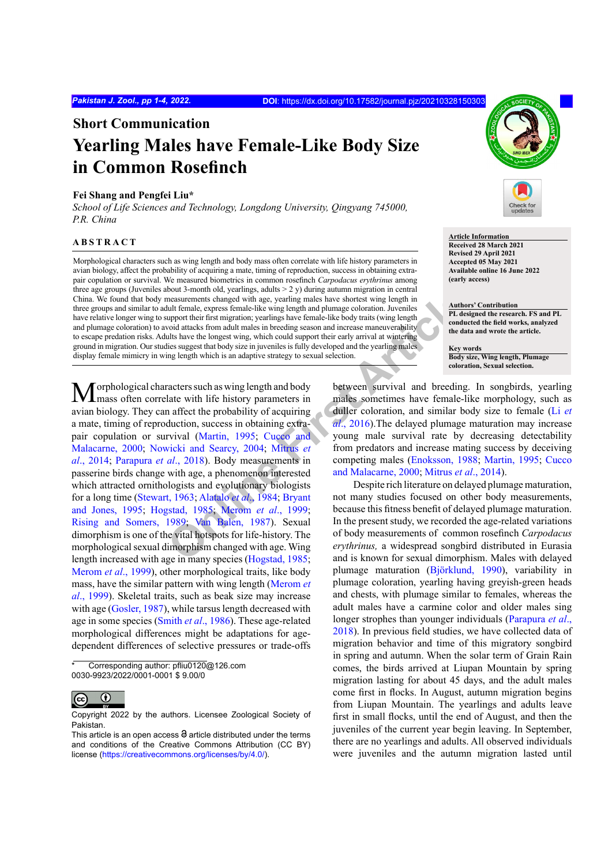**Short Communication**

# **Yearling Males have Female-Like Body Size in Common Rosefinch**

# **Fei Shang and Pengfei Liu\***

*School of Life Sciences and Technology, Longdong University, Qingyang 745000, P.R. China*

# **ABSTRACT**

Morphological characters such as wing length and body mass often correlate with life history parameters in avian biology, affect the probability of acquiring a mate, timing of reproduction, success in obtaining extrapair copulation or survival. We measured biometrics in common rosefinch *Carpodacus erythrinus* among three age groups (Juveniles about 3-month old, yearlings, adults  $> 2$  y) during autumn migration in central China. We found that body measurements changed with age, yearling males have shortest wing length in three groups and similar to adult female, express female-like wing length and plumage coloration. Juveniles have relative longer wing to support their first migration; yearlings have female-like body traits (wing length and plumage coloration) to avoid attacks from adult males in breeding season and increase maneuverability to escape predation risks. Adults have the longest wing, which could support their early arrival at wintering ground in migration. Our studies suggest that body size in juveniles is fully developed and the yearling males display female mimicry in wing length which is an adaptive strategy to sexual selection.

**Solutionary (and Solutionary 2004;** Demograment Schaped with age, year[lin](#page-3-6)g males have shortest wing length in under the interest female like bord trains (appear and plumage coloration). Unveries the one of the data to the  $M$ orphological characters such as wing length and body mass often correlate with life history parameters in avian biology. They can affect the probability of acquiring a mate, timing of reproduction, success in obtaining extrapair copulation or survival (Martin, 1995; Cucco and [Malacarne, 2000](#page-3-1); Nowicki and Searcy, 2004; Mitrus *et al*[., 2014](#page-3-3); Parapura *et al*., 2018). Body measurements in passerine birds change with age, a phenomenon interested which attracted ornithologists and evolutionary biologists for a long time ([Stewart, 1963](#page-3-5); Alatalo *et al*., 1984; Bryant [and Jones, 1995](#page-3-7); [Hogstad, 1985](#page-3-8); Merom *et al*., 1999; [Rising and Somers, 1989](#page-3-10); Van Balen, 1987). Sexual dimorphism is one of the vital hotspots for life-history. The morphological sexual dimorphism changed with age. Wing length increased with age in many species [\(Hogstad, 1985](#page-3-8); [Merom](#page-3-9) *et al*., 1999), other morphological traits, like body mass, have the similar pattern with wing length [\(Merom](#page-3-9) *et al*[., 1999\)](#page-3-9). Skeletal traits, such as beak size may increase with age ([Gosler, 1987](#page-3-12)), while tarsus length decreased with age in some species (Smith *et al*[., 1986\)](#page-3-13). These age-related morphological differences might be adaptations for agedependent differences of selective pressures or trade-offs



**Article Information Received 28 March 2021 Revised 29 April 2021 Accepted 05 May 2021 Available online 16 June 2022 (early access)**

**Authors' Contribution PL designed the research. FS and PL conducted the field works, analyzed the data and wrote the article.**

**Key words Body size, Wing length, Plumage coloration, Sexual selection.**

between survival and breeding. In songbirds, yearling males sometimes have female-like morphology, such as duller coloration, and similar body size to female ([Li](#page-3-14) *et al*., 2016).The delayed plumage maturation may increase young male survival rate by decreasing detectability from predators and increase mating success by deceiving competing males (Enoksson, 1988; [Martin, 1995](#page-3-0); [Cucco](#page-3-1) and Malacarne, 2000; Mitrus *et al*., 2014).

Despite rich literature on delayed plumage maturation, not many studies focused on other body measurements, because this fitness benefit of delayed plumage maturation. In the present study, we recorded the age-related variations of body measurements of common rosefinch *Carpodacus erythrinus,* a widespread songbird distributed in Eurasia and is known for sexual dimorphism. Males with delayed plumage maturation (Björklund, 1990), variability in plumage coloration, yearling having greyish-green heads and chests, with plumage similar to females, whereas the adult males have a carmine color and older males sing longer strophes than younger individuals [\(Parapura](#page-3-4) *et al*., [2018](#page-3-4)). In previous field studies, we have collected data of migration behavior and time of this migratory songbird in spring and autumn. When the solar term of Grain Rain comes, the birds arrived at Liupan Mountain by spring migration lasting for about 45 days, and the adult males come first in flocks. In August, autumn migration begins from Liupan Mountain. The yearlings and adults leave first in small flocks, until the end of August, and then the juveniles of the current year begin leaving. In September, there are no yearlings and adults. All observed individuals were juveniles and the autumn migration lasted until

Corresponding author: pfliu0120@126.com 0030-9923/2022/0001-0001 \$ 9.00/0

 $\odot$ (cc

Copyright 2022 by the authors. Licensee Zoological Society of Pakistan.

This article is an open access  $\Theta$  article distributed under the terms and conditions of the Creative Commons Attribution (CC BY) license (https://creativecommons.org/licenses/by/4.0/).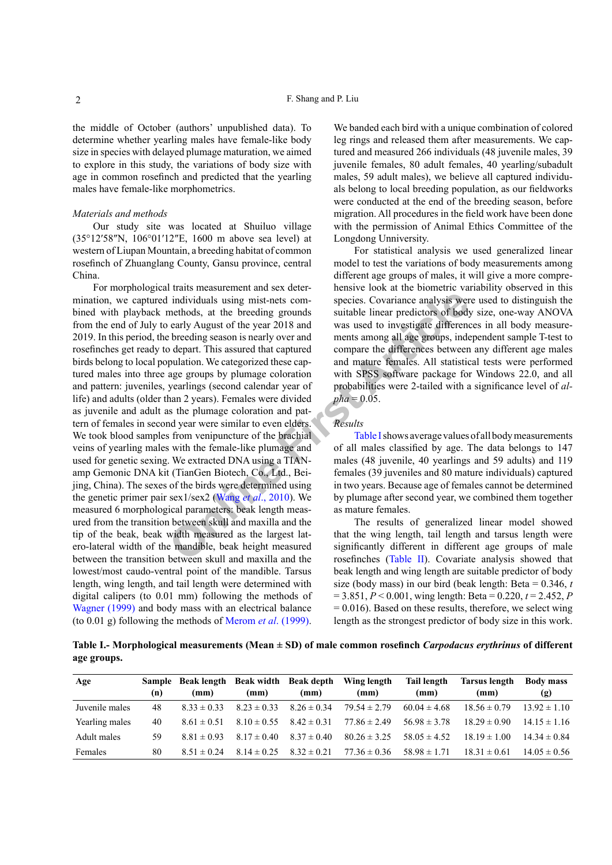the middle of October (authors' unpublished data). To determine whether yearling males have female-like body size in species with delayed plumage maturation, we aimed to explore in this study, the variations of body size with age in common rosefinch and predicted that the yearling males have female-like morphometrics.

# *Materials and methods*

Our study site was located at Shuiluo village (35°12′58″N, 106°01′12″E, 1600 m above sea level) at western of Liupan Mountain, a breeding habitat of common rosefinch of Zhuanglang County, Gansu province, central China.

**CONFIGURE 1** individuals using mist-nets com-<br>
Species. Covariance analysis were methods, at the breeding grounds<br>
Suitable [lin](#page-3-16)ear predictors of body<br>
bendly August of the year 2018 and<br>
one character and ments among all For morphological traits measurement and sex determination, we captured individuals using mist-nets combined with playback methods, at the breeding grounds from the end of July to early August of the year 2018 and 2019. In this period, the breeding season is nearly over and rosefinches get ready to depart. This assured that captured birds belong to local population. We categorized these captured males into three age groups by plumage coloration and pattern: juveniles, yearlings (second calendar year of life) and adults (older than 2 years). Females were divided as juvenile and adult as the plumage coloration and pattern of females in second year were similar to even elders. We took blood samples from venipuncture of the brachial veins of yearling males with the female-like plumage and used for genetic sexing. We extracted DNA using a TIANamp Gemonic DNA kit (TianGen Biotech, Co., Ltd., Beijing, China). The sexes of the birds were determined using the genetic primer pair sex1/sex2 (Wang *et al*., 2010). We measured 6 morphological parameters: beak length measured from the transition between skull and maxilla and the tip of the beak, beak width measured as the largest latero-lateral width of the mandible, beak height measured between the transition between skull and maxilla and the lowest/most caudo-ventral point of the mandible. Tarsus length, wing length, and tail length were determined with digital calipers (to 0.01 mm) following the methods of [Wagner \(1999\)](#page-3-17) and body mass with an electrical balance (to 0.01 g) following the methods of Merom *et al*[. \(1999\).](#page-3-9)

We banded each bird with a unique combination of colored leg rings and released them after measurements. We captured and measured 266 individuals (48 juvenile males, 39 juvenile females, 80 adult females, 40 yearling/subadult males, 59 adult males), we believe all captured individuals belong to local breeding population, as our fieldworks were conducted at the end of the breeding season, before migration. All procedures in the field work have been done with the permission of Animal Ethics Committee of the Longdong Unniversity.

For statistical analysis we used generalized linear model to test the variations of body measurements among different age groups of males, it will give a more comprehensive look at the biometric variability observed in this species. Covariance analysis were used to distinguish the suitable linear predictors of body size, one-way ANOVA was used to investigate differences in all body measurements among all age groups, independent sample T-test to compare the differences between any different age males and mature females. All statistical tests were performed with SPSS software package for Windows 22.0, and all probabilities were 2-tailed with a significance level of *al* $pha = 0.05$ .

# *Results*

Table I shows average values of all body measurements of all males classified by age. The data belongs to 147 males (48 juvenile, 40 yearlings and 59 adults) and 119 females (39 juveniles and 80 mature individuals) captured in two years. Because age of females cannot be determined by plumage after second year, we combined them together as mature females.

The results of generalized linear model showed that the wing length, tail length and tarsus length were significantly different in different age groups of male rosefinches (Table II). Covariate analysis showed that beak length and wing length are suitable predictor of body size (body mass) in our bird (beak length: Beta = 0.346, *t* = 3.851, *P* < 0.001, wing length: Beta = 0.220, *t* = 2.452, *P*  $= 0.016$ ). Based on these results, therefore, we select wing length as the strongest predictor of body size in this work.

<span id="page-1-0"></span>**Table I.- Morphological measurements (Mean ± SD) of male common rosefinch** *Carpodacus erythrinus* **of different age groups.**

| Age            | (n) | Sample Beak length Beak width Beak depth<br>(mm) | (mm)            | (mm)            | Wing length<br>(mm) | Tail length<br>(mm) | Tarsus length<br>(mm) | <b>Body mass</b><br>(g) |
|----------------|-----|--------------------------------------------------|-----------------|-----------------|---------------------|---------------------|-----------------------|-------------------------|
| Juvenile males | 48  | $8.33 \pm 0.33$                                  | $8.23 \pm 0.33$ | $8.26 \pm 0.34$ | $79.54 \pm 2.79$    | $60.04 \pm 4.68$    | $18.56 \pm 0.79$      | $13.92 \pm 1.10$        |
| Yearling males | 40  | $8.61 \pm 0.51$                                  | $8.10 \pm 0.55$ | $8.42 \pm 0.31$ | $77.86 \pm 2.49$    | $56.98 \pm 3.78$    | $18.29 \pm 0.90$      | $14.15 \pm 1.16$        |
| Adult males    | 59  | $8.81 \pm 0.93$                                  | $817 \pm 040$   | $8.37 \pm 0.40$ | $80.26 \pm 3.25$    | $58.05 \pm 4.52$    | $18.19 \pm 1.00$      | $14.34 \pm 0.84$        |
| Females        | 80  | $8.51 \pm 0.24$                                  | $8.14 \pm 0.25$ | $8.32 \pm 0.21$ | $77.36 \pm 0.36$    | $58.98 \pm 1.71$    | $18.31 \pm 0.61$      | $14.05 \pm 0.56$        |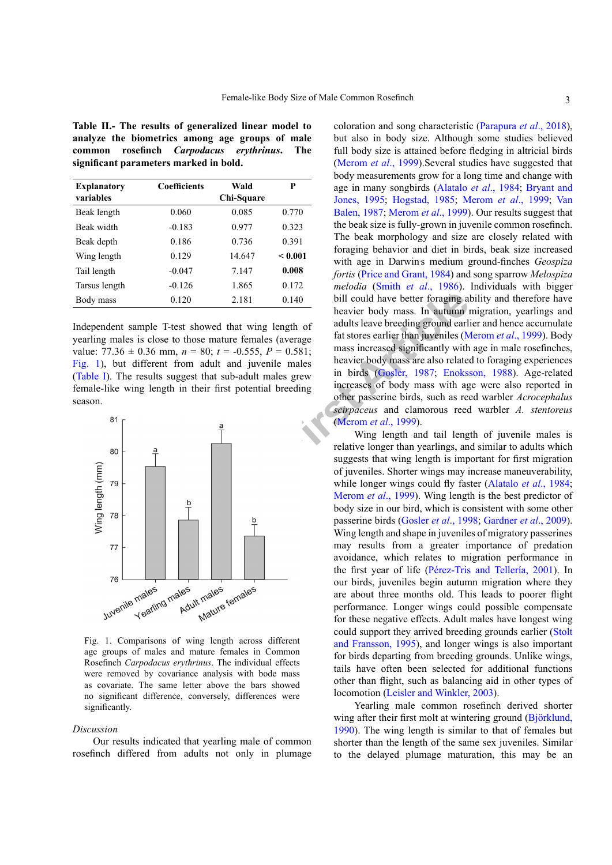<span id="page-2-0"></span>**Table II.- The results of generalized linear model to analyze the biometrics among age groups of male common rosefinch** *Carpodacus erythrinus***. The significant parameters marked in bold.**

| <b>Explanatory</b><br>variables | <b>Coefficients</b> | Wald<br>Chi-Square | P       |
|---------------------------------|---------------------|--------------------|---------|
| Beak length                     | 0.060               | 0.085              | 0.770   |
| Beak width                      | $-0.183$            | 0.977              | 0.323   |
| Beak depth                      | 0.186               | 0.736              | 0.391   |
| Wing length                     | 0.129               | 14.647             | < 0.001 |
| Tail length                     | $-0.047$            | 7.147              | 0.008   |
| Tarsus length                   | $-0.126$            | 1.865              | 0.172   |
| Body mass                       | 0.120               | 2.181              | 0.140   |

Independent sample T-test showed that wing length of yearling males is close to those mature females (average value:  $77.36 \pm 0.36$  mm,  $n = 80$ ;  $t = -0.555$ ,  $P = 0.581$ ; [Fig.](#page-2-1) 1), but different from adult and juvenile males [\(Table](#page-1-0) I). The results suggest that sub-adult males grew female-like wing length in their first potential breeding season.



<span id="page-2-1"></span>Fig. 1. Comparisons of wing length across different age groups of males and mature females in Common Rosefinch *Carpodacus erythrinus*. The individual effects were removed by covariance analysis with bode mass as covariate. The same letter above the bars showed no significant difference, conversely, differences were significantly.

#### *Discussion*

Our results indicated that yearling male of common rosefinch differed from adults not only in plumage

coloration and song characteristic [\(Parapura](#page-3-4) *et al*., 2018), but also in body size. Although some studies believed full body size is attained before fledging in altricial birds [\(Merom](#page-3-9) *et al*., 1999).Several studies have suggested that body measurements grow for a long time and change with age in many songbirds [\(Alatalo](#page-3-6) *et al*., 1984; [Bryant and](#page-3-7) [Jones, 1995](#page-3-7); [Hogstad, 1985](#page-3-8); [Merom](#page-3-9) *et al*., 1999; [Van](#page-3-11) [Balen, 1987](#page-3-11); [Merom](#page-3-9) *et al*., 1999). Our results suggest that the beak size is fully-grown in juvenile common rosefinch. The beak morphology and size are closely related with foraging behavior and diet in birds, beak size increased with age in Darwin's medium ground-finches *Geospiza fortis* [\(Price and Grant, 1984](#page-3-18)) and song sparrow *Melospiza melodia* (Smith *et al*[., 1986](#page-3-13)). Individuals with bigger bill could have better foraging ability and therefore have heavier body mass. In autumn migration, yearlings and adults leave breeding ground earlier and hence accumulate fat stores earlier than juveniles ([Merom](#page-3-9) *et al*., 1999). Body mass increased significantly with age in male rosefinches, heavier body mass are also related to foraging experiences in birds (Gosler, 1987; [Enoksson, 1988\)](#page-3-15). Age-related increases of body mass with age were also reported in other passerine birds, such as reed warbler *Acrocephalus scirpaceus* and clamorous reed warbler *A. stentoreus* (Merom *et al*., 1999).

Wing length and tail length of juvenile males is relative longer than yearlings, and similar to adults which suggests that wing length is important for first migration of juveniles. Shorter wings may increase maneuverability, while longer wings could fly faster ([Alatalo](#page-3-6) *et al*., 1984; Merom *et al*., 1999). Wing length is the best predictor of body size in our bird, which is consistent with some other passerine birds (Gosler *et al*., 1998; [Gardner](#page-3-20) *et al*., 2009). Wing length and shape in juveniles of migratory passerines may results from a greater importance of predation avoidance, which relates to migration performance in the first year of life (Pérez-Tris and Tellería, 2001). In our birds, juveniles begin autumn migration where they are about three months old. This leads to poorer flight performance. Longer wings could possible compensate for these negative effects. Adult males have longest wing could support they arrived breeding grounds earlier [\(Stolt](#page-3-21) [and Fransson, 1995\)](#page-3-21), and longer wings is also important for birds departing from breeding grounds. Unlike wings, tails have often been selected for additional functions other than flight, such as balancing aid in other types of locomotion [\(Leisler and Winkler, 2003](#page-3-22)).

Yearling male common rosefinch derived shorter wing after their first molt at wintering ground (Björklund, 1990). The wing length is similar to that of females but shorter than the length of the same sex juveniles. Similar to the delayed plumage maturation, this may be an